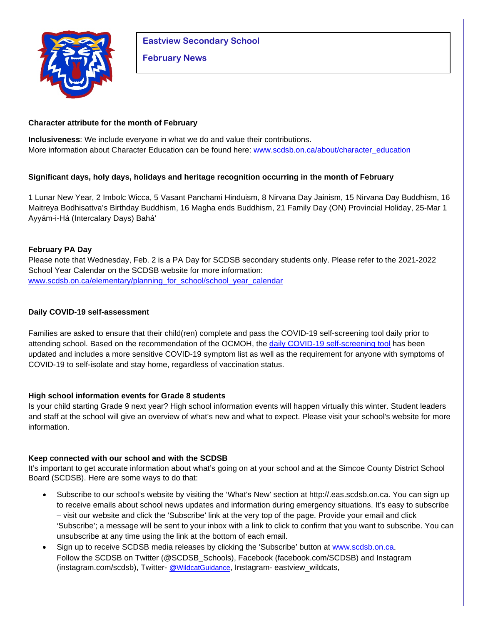

**Eastview Secondary School**

# **February News**

# **Character attribute for the month of February**

**Inclusiveness**: We include everyone in what we do and value their contributions. More information about Character Education can be found here: www.scdsb.on.ca/about/character\_education

# **Significant days, holy days, holidays and heritage recognition occurring in the month of February**

1 Lunar New Year, 2 Imbolc Wicca, 5 Vasant Panchami Hinduism, 8 Nirvana Day Jainism, 15 Nirvana Day Buddhism, 16 Maitreya Bodhisattva's Birthday Buddhism, 16 Magha ends Buddhism, 21 Family Day (ON) Provincial Holiday, 25-Mar 1 Ayyám-i-Há (Intercalary Days) Bahá'

# **February PA Day**

Please note that Wednesday, Feb. 2 is a PA Day for SCDSB secondary students only. Please refer to the 2021-2022 School Year Calendar on the SCDSB website for more information: [www.scdsb.on.ca/elementary/planning\\_for\\_school/school\\_year\\_calendar](http://www.scdsb.on.ca/elementary/planning_for_school/school_year_calendar)

# **Daily COVID-19 self-assessment**

Families are asked to ensure that their child(ren) complete and pass the COVID-19 self-screening tool daily prior to attending school. Based on the recommendation of the OCMOH, the [daily COVID-19 self-screening tool](https://can01.safelinks.protection.outlook.com/?url=https%3A%2F%2Fcovid-19.ontario.ca%2Fschool-screening%2F&data=04%7C01%7Cmslademorrison%40scdsb.on.ca%7C115f1376cdb7487eefc408d9cc86702f%7C573d7e64d5434fd8b3da0c64adc4eb35%7C1%7C0%7C637765700038934322%7CUnknown%7CTWFpbGZsb3d8eyJWIjoiMC4wLjAwMDAiLCJQIjoiV2luMzIiLCJBTiI6Ik1haWwiLCJXVCI6Mn0%3D%7C3000&sdata=bmXgInKxXqSoN6Wb%2FnLxtq5WGlIN9uXwa2mUISe9mCc%3D&reserved=0) has been updated and includes a more sensitive COVID-19 symptom list as well as the requirement for anyone with symptoms of COVID-19 to self-isolate and stay home, regardless of vaccination status.

## **High school information events for Grade 8 students**

Is your child starting Grade 9 next year? High school information events will happen virtually this winter. Student leaders and staff at the school will give an overview of what's new and what to expect. Please visit your school's website for more information.

## **Keep connected with our school and with the SCDSB**

It's important to get accurate information about what's going on at your school and at the Simcoe County District School Board (SCDSB). Here are some ways to do that:

- Subscribe to our school's website by visiting the 'What's New' section at http://.eas.scdsb.on.ca. You can sign up to receive emails about school news updates and information during emergency situations. It's easy to subscribe – visit our website and click the 'Subscribe' link at the very top of the page. Provide your email and click 'Subscribe'; a message will be sent to your inbox with a link to click to confirm that you want to subscribe. You can unsubscribe at any time using the link at the bottom of each email.
- Sign up to receive SCDSB media releases by clicking the 'Subscribe' button at [www.scdsb.on.ca.](http://www.scdsb.on.ca/) Follow the SCDSB on Twitter (@SCDSB\_Schools), Facebook (facebook.com/SCDSB) and Instagram (instagram.com/scdsb), Twitter- [@WildcatGuidance,](https://twitter.com/WildcatGuidance?ref_src=twsrc%5Etfw%7Ctwcamp%5Eembeddedtimeline%7Ctwterm%5Eprofile%3AWildcatGuidance%7Ctwgr%5EeyJ0ZndfZXhwZXJpbWVudHNfY29va2llX2V4cGlyYXRpb24iOnsiYnVja2V0IjoxMjA5NjAwLCJ2ZXJzaW9uIjpudWxsfSwidGZ3X2hvcml6b25fdHdlZXRfZW1iZWRfOTU1NSI6eyJidWNrZXQiOiJodGUiLCJ2ZXJzaW9uIjpudWxsfSwidGZ3X3NwYWNlX2NhcmQiOnsiYnVja2V0Ijoib2ZmIiwidmVyc2lvbiI6bnVsbH19&ref_url=http%3A%2F%2Feas.scdsb.on.ca%2F) Instagram- eastview\_wildcats,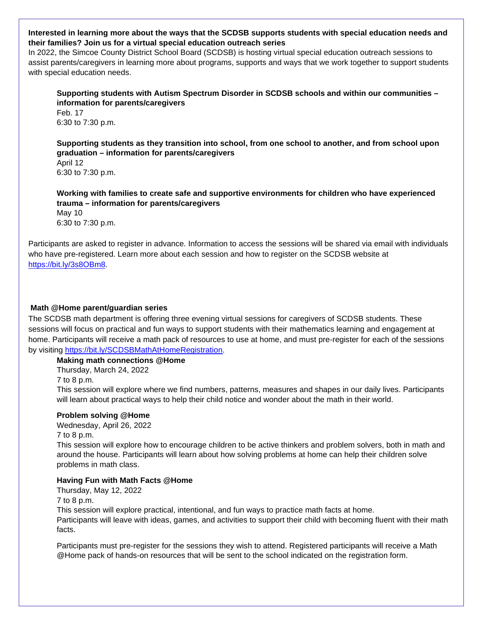#### **Interested in learning more about the ways that the SCDSB supports students with special education needs and their families? Join us for a virtual special education outreach series**

In 2022, the Simcoe County District School Board (SCDSB) is hosting virtual special education outreach sessions to assist parents/caregivers in learning more about programs, supports and ways that we work together to support students with special education needs.

## **Supporting students with Autism Spectrum Disorder in SCDSB schools and within our communities – information for parents/caregivers**

Feb. 17 6:30 to 7:30 p.m.

#### **Supporting students as they transition into school, from one school to another, and from school upon graduation – information for parents/caregivers**

April 12 6:30 to 7:30 p.m.

# **Working with families to create safe and supportive environments for children who have experienced trauma – information for parents/caregivers**

May 10 6:30 to 7:30 p.m.

Participants are asked to register in advance. Information to access the sessions will be shared via email with individuals who have pre-registered. Learn more about each session and how to register on the SCDSB website at [https://bit.ly/3s8OBm8.](https://bit.ly/3s8OBm8)

# **Math @Home parent/guardian series**

The SCDSB math department is offering three evening virtual sessions for caregivers of SCDSB students. These sessions will focus on practical and fun ways to support students with their mathematics learning and engagement at home. Participants will receive a math pack of resources to use at home, and must pre-register for each of the sessions by visiting [https://bit.ly/SCDSBMathAtHomeRegistration.](https://bit.ly/SCDSBMathAtHomeRegistration)

**Making math connections @Home**

Thursday, March 24, 2022

7 to 8 p.m.

This session will explore where we find numbers, patterns, measures and shapes in our daily lives. Participants will learn about practical ways to help their child notice and wonder about the math in their world.

## **Problem solving @Home**

Wednesday, April 26, 2022

7 to 8 p.m.

This session will explore how to encourage children to be active thinkers and problem solvers, both in math and around the house. Participants will learn about how solving problems at home can help their children solve problems in math class.

#### **Having Fun with Math Facts @Home**

Thursday, May 12, 2022

7 to 8 p.m.

This session will explore practical, intentional, and fun ways to practice math facts at home. Participants will leave with ideas, games, and activities to support their child with becoming fluent with their math facts.

Participants must pre-register for the sessions they wish to attend. Registered participants will receive a Math @Home pack of hands-on resources that will be sent to the school indicated on the registration form.